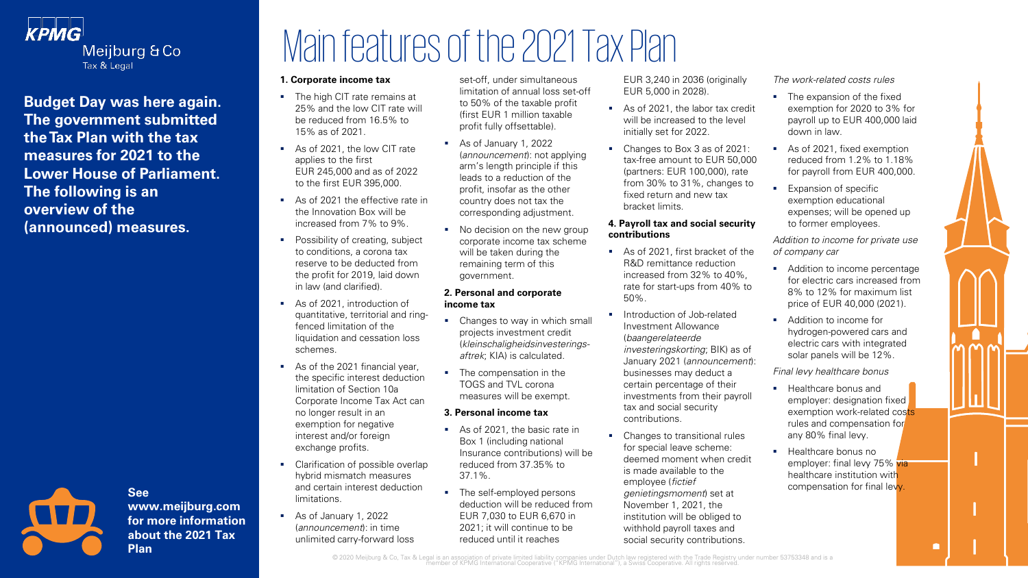

**Budget Day was here again. The government submitted the Tax Plan with the tax measures for 2021 to the Lower House of Parliament. The following is an overview of the (announced) measures.**



**See www.meijburg.com for more information about the 2021 Tax Plan**

# Main features of the 2021 Tax Plan

#### **1. Corporate income tax**

- **•** The high CIT rate remains at 25% and the low CIT rate will be reduced from 16.5% to 15% as of 2021.
- As of 2021, the low CIT rate applies to the first EUR 245,000 and as of 2022 to the first EUR 395,000.
- As of 2021 the effective rate in the Innovation Box will be increased from 7% to 9%.
- Possibility of creating, subject to conditions, a corona tax reserve to be deducted from the profit for 2019, laid down in law (and clarified).
- As of 2021, introduction of quantitative, territorial and ringfenced limitation of the liquidation and cessation loss schemes.
- As of the 2021 financial year. the specific interest deduction limitation of Section 10a Corporate Income Tax Act can no longer result in an exemption for negative interest and/or foreign exchange profits.
- Clarification of possible overlap hybrid mismatch measures and certain interest deduction limitations.
- As of January 1, 2022 (announcement): in time unlimited carry-forward loss

set-off, under simultaneous limitation of annual loss set-off to 50% of the taxable profit (first EUR 1 million taxable profit fully offsettable).

- As of January 1, 2022 (announcement): not applying arm's length principle if this leads to a reduction of the profit, insofar as the other country does not tax the corresponding adjustment.
- No decision on the new group corporate income tax scheme will be taken during the remaining term of this government.

#### **2. Personal and corporate income tax**

- **•** Changes to way in which small projects investment credit (kleinschaligheidsinvesteringsaftrek; KIA) is calculated.
- The compensation in the TOGS and TVL corona measures will be exempt.

### **3. Personal income tax**

- As of 2021, the basic rate in Box 1 (including national Insurance contributions) will be reduced from 37.35% to 37.1%.
- The self-employed persons deduction will be reduced from EUR 7,030 to EUR 6,670 in 2021; it will continue to be reduced until it reaches

EUR 3,240 in 2036 (originally EUR 5,000 in 2028).

- As of 2021, the labor tax credit will be increased to the level initially set for 2022.
- Changes to Box 3 as of 2021: tax-free amount to EUR 50,000 (partners: EUR 100,000), rate from 30% to 31%, changes to fixed return and new tax bracket limits.

### **4. Payroll tax and social security contributions**

- As of 2021, first bracket of the R&D remittance reduction increased from 32% to 40%, rate for start-ups from 40% to 50%.
- **·** Introduction of Job-related Investment Allowance (baangerelateerde investeringskorting; BIK) as of January 2021 (announcement): businesses may deduct a certain percentage of their investments from their payroll tax and social security contributions.
- Changes to transitional rules for special leave scheme: deemed moment when credit is made available to the employee (fictief genietingsmoment) set at November 1, 2021, the institution will be obliged to withhold payroll taxes and social security contributions.

The work-related costs rules

- The expansion of the fixed exemption for 2020 to 3% for payroll up to EUR 400,000 laid down in law.
- As of 2021, fixed exemption reduced from 1.2% to 1.18% for payroll from EUR 400,000.
- **Expansion of specific** exemption educational expenses; will be opened up to former employees.

Addition to income for private use of company car

- Addition to income percentage for electric cars increased from 8% to 12% for maximum list price of EUR 40,000 (2021).
- Addition to income for hydrogen-powered cars and electric cars with integrated solar panels will be 12%.

Final levy healthcare bonus

- Healthcare bonus and employer: designation fixed exemption work-related costs rules and compensation for any 80% final levy.
- Healthcare bonus no employer: final levy 75% via healthcare institution with compensation for final levy.

© 2020 Meijburg & Co, Tax & Legal is an association of private limited liability companies under Dutch law registered with the Trade Registry under number 53753348 and is a<br>The member of KPMG International Cooperative ("KP